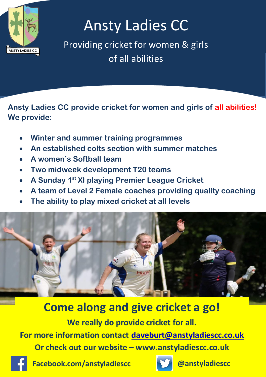

## Ansty Ladies CC

Providing cricket for women & girls of all abilities

**Ansty Ladies CC provide cricket for women and girls of all abilities! We provide:**

- **Winter and summer training programmes**
- **An established colts section with summer matches**
- **A women's Softball team**
- **Two midweek development T20 teams**
- **A Sunday 1st XI playing Premier League Cricket**
- **A team of Level 2 Female coaches providing quality coaching**
- **The ability to play mixed cricket at all levels**



**Come along and give cricket a go!**

**We really do provide cricket for all.**

**For more information contact [daveburt@anstyladiescc.co.uk](mailto:daveburt@anstyladiescc.co.uk) Or check out our website – www.anstyladiescc.co.uk**



**Facebook.com/anstyladiescc @anstyladiescc**